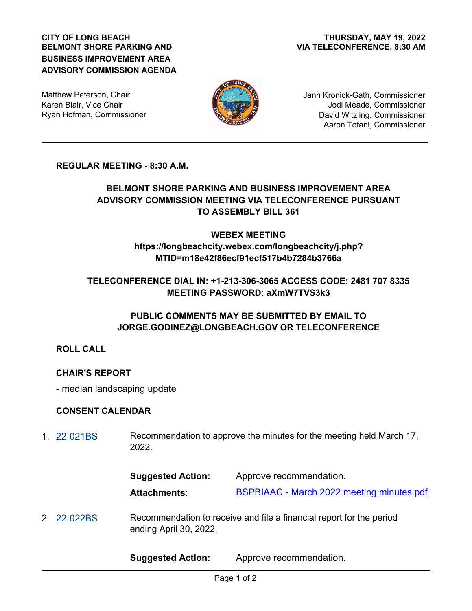#### **CITY OF LONG BEACH BELMONT SHORE PARKING AND BUSINESS IMPROVEMENT AREA ADVISORY COMMISSION AGENDA**

Matthew Peterson, Chair Karen Blair, Vice Chair Ryan Hofman, Commissioner



Jann Kronick-Gath, Commissioner Jodi Meade, Commissioner David Witzling, Commissioner Aaron Tofani, Commissioner

## **REGULAR MEETING - 8:30 A.M.**

# **BELMONT SHORE PARKING AND BUSINESS IMPROVEMENT AREA ADVISORY COMMISSION MEETING VIA TELECONFERENCE PURSUANT TO ASSEMBLY BILL 361**

#### **WEBEX MEETING https://longbeachcity.webex.com/longbeachcity/j.php?**

# **MTID=m18e42f86ecf91ecf517b4b7284b3766a**

# **TELECONFERENCE DIAL IN: +1-213-306-3065 ACCESS CODE: 2481 707 8335 MEETING PASSWORD: aXmW7TVS3k3**

# **PUBLIC COMMENTS MAY BE SUBMITTED BY EMAIL TO JORGE.GODINEZ@LONGBEACH.GOV OR TELECONFERENCE**

**ROLL CALL**

# **CHAIR'S REPORT**

- median landscaping update

## **CONSENT CALENDAR**

Recommendation to approve the minutes for the meeting held March 17, 2022. 1. [22-021BS](http://longbeach.legistar.com/gateway.aspx?M=L&ID=239644)

| <b>Suggested Action:</b> | Approve recommendation.                          |
|--------------------------|--------------------------------------------------|
| <b>Attachments:</b>      | <b>BSPBIAAC</b> - March 2022 meeting minutes.pdf |

Recommendation to receive and file a financial report for the period ending April 30, 2022. 2. [22-022BS](http://longbeach.legistar.com/gateway.aspx?M=L&ID=239645)

**Suggested Action:** Approve recommendation.